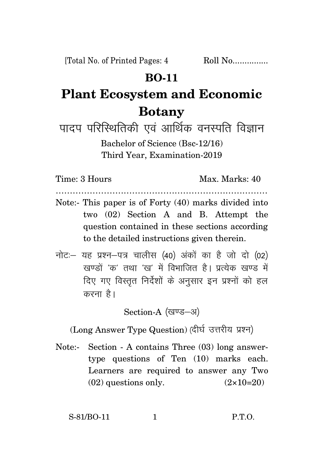## **BO-11**

## **Plant Ecosystem and Economic Botany**

पादप परिस्थितिकी एवं आर्थिक वनस्पति विज्ञान Bachelor of Science (Bsc-12/16) Third Year, Examination-2019

Time: 3 Hours Max. Marks: 40

Note:- This paper is of Forty (40) marks divided into two (02) Section A and B. Attempt the question contained in these sections according to the detailed instructions given therein.

…………………………………………………………………

 $\vec{n}$ ट: यह प्रश्न-पत्र चालीस (40) अंकों का है जो दो (02) खण्डों *'क'* तथा 'ख' में विभाजित है। प्रत्येक खण्ड में दिए गए विस्तृत निर्देशों के अनुसार इन प्रश्नों को हल करना है।

Section-A (खण्ड-अ)

(Long Answer Type Question) (दीर्घ उत्तरीय प्रश्न)

Note:- Section - A contains Three (03) long answertype questions of Ten (10) marks each. Learners are required to answer any Two  $(02)$  questions only.  $(2 \times 10=20)$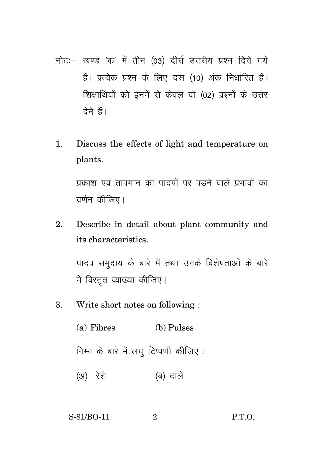- नोट :- खण्ड 'क' में तीन (03) दीर्घ उत्तरीय प्रश्न दिये गये हैं। प्रत्येक प्रश्न के लिए दस (10) अंक निर्धारित हैं। शिक्षार्थियों को इनमें से केवल दो (02) प्रश्नों के उत्तर देने हैं।
- $1<sub>1</sub>$ Discuss the effects of light and temperature on plants.

प्रकाश एवं तापमान का पादपों पर पडने वाले प्रभावों का वर्णन कीजिए।

Describe in detail about plant community and  $2^{1}$ its characteristics.

पादप समुदाय के बारे में तथा उनके विशेषताओं के बारे मे विस्तृत व्याख्या कीजिए।

- Write short notes on following: 3.
	- (a) Fibres (b) Pulses निम्न के बारे में लघु टिप्पणी कीजिए: (अ) रेशे (ब) दालें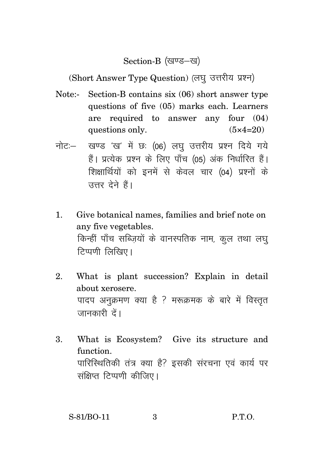Section-B (खण्ड-ख)

(Short Answer Type Question) (लघु उत्तरीय प्रश्न)

- Note:- Section-B contains six (06) short answer type questions of five (05) marks each. Learners are required to answer any four (04) questions only.  $(5 \times 4=20)$
- नोट: खण्ड 'ख' में छः (06) लघु उत्तरीय प्रश्न दिये गये हैं। प्रत्येक प्रश्न के लिए पाँच (05) अंक निर्धारित हैं। शिक्षार्थियों को इनमें से केवल चार (04) प्रश्नों के उत्तर देने हैं।
- 1. Give botanical names, families and brief note on any five vegetables. किन्हीं पाँच सब्जियों के वानस्पतिक नाम, कुल तथा लघ टिप्पणी लिखिए।
- 2. What is plant succession? Explain in detail about xerosere. पादप अनुक्रमण क्या है ? मरूक्रमक के बारे में विस्तृत जानकारी दें।
- 3. What is Ecosystem? Give its structure and function. पारिस्थितिकी तंत्र क्या है? इसकी संरचना एवं कार्य पर संक्षिप्त टिप्पणी कीजिए।